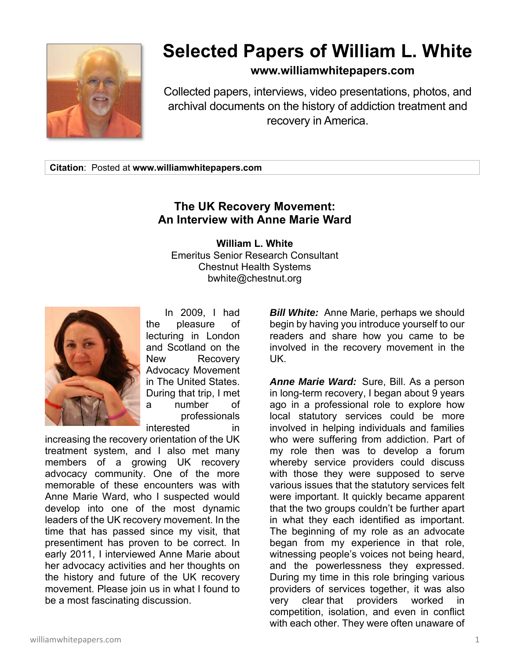

## **Selected Papers of William L. White**

## **www.williamwhitepapers.com**

Collected papers, interviews, video presentations, photos, and archival documents on the history of addiction treatment and recovery in America.

**Citation**: Posted at **www.williamwhitepapers.com** 

## **The UK Recovery Movement: An Interview with Anne Marie Ward**

**William L. White**  Emeritus Senior Research Consultant Chestnut Health Systems bwhite@chestnut.org



 In 2009, I had the pleasure of lecturing in London and Scotland on the New Recovery Advocacy Movement in The United States. During that trip, I met a number of professionals interested in

increasing the recovery orientation of the UK treatment system, and I also met many members of a growing UK recovery advocacy community. One of the more memorable of these encounters was with Anne Marie Ward, who I suspected would develop into one of the most dynamic leaders of the UK recovery movement. In the time that has passed since my visit, that presentiment has proven to be correct. In early 2011, I interviewed Anne Marie about her advocacy activities and her thoughts on the history and future of the UK recovery movement. Please join us in what I found to be a most fascinating discussion.

*Bill White:* Anne Marie, perhaps we should begin by having you introduce yourself to our readers and share how you came to be involved in the recovery movement in the UK.

*Anne Marie Ward:* Sure, Bill. As a person in long-term recovery, I began about 9 years ago in a professional role to explore how local statutory services could be more involved in helping individuals and families who were suffering from addiction. Part of my role then was to develop a forum whereby service providers could discuss with those they were supposed to serve various issues that the statutory services felt were important. It quickly became apparent that the two groups couldn't be further apart in what they each identified as important. The beginning of my role as an advocate began from my experience in that role, witnessing people's voices not being heard, and the powerlessness they expressed. During my time in this role bringing various providers of services together, it was also very clear that providers worked in competition, isolation, and even in conflict with each other. They were often unaware of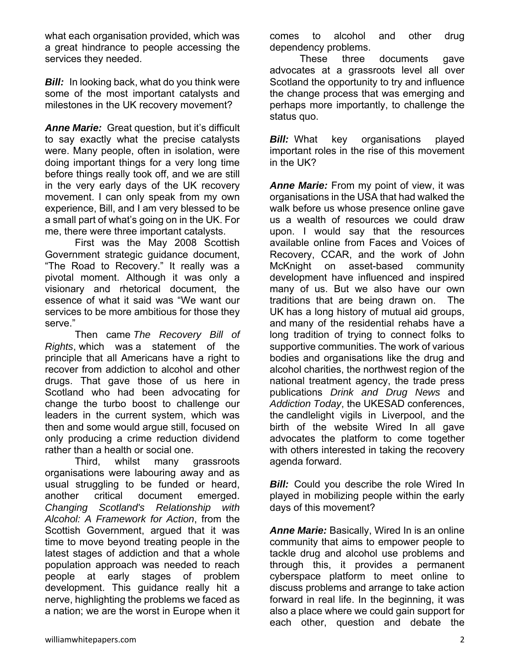what each organisation provided, which was a great hindrance to people accessing the services they needed.

**Bill:** In looking back, what do you think were some of the most important catalysts and milestones in the UK recovery movement?

*Anne Marie:* Great question, but it's difficult to say exactly what the precise catalysts were. Many people, often in isolation, were doing important things for a very long time before things really took off, and we are still in the very early days of the UK recovery movement. I can only speak from my own experience, Bill, and I am very blessed to be a small part of what's going on in the UK. For me, there were three important catalysts.

 First was the May 2008 Scottish Government strategic guidance document, "The Road to Recovery." It really was a pivotal moment. Although it was only a visionary and rhetorical document, the essence of what it said was "We want our services to be more ambitious for those they serve."

 Then came *The Recovery Bill of Rights*, which was a statement of the principle that all Americans have a right to recover from addiction to alcohol and other drugs. That gave those of us here in Scotland who had been advocating for change the turbo boost to challenge our leaders in the current system, which was then and some would argue still, focused on only producing a crime reduction dividend rather than a health or social one.

 Third, whilst many grassroots organisations were labouring away and as usual struggling to be funded or heard, another critical document emerged. *Changing Scotland's Relationship with Alcohol: A Framework for Action*, from the Scottish Government, argued that it was time to move beyond treating people in the latest stages of addiction and that a whole population approach was needed to reach people at early stages of problem development. This guidance really hit a nerve, highlighting the problems we faced as a nation; we are the worst in Europe when it

comes to alcohol and other drug dependency problems.

 These three documents gave advocates at a grassroots level all over Scotland the opportunity to try and influence the change process that was emerging and perhaps more importantly, to challenge the status quo.

*Bill:* What key organisations played important roles in the rise of this movement in the UK?

*Anne Marie:* From my point of view, it was organisations in the USA that had walked the walk before us whose presence online gave us a wealth of resources we could draw upon. I would say that the resources available online from Faces and Voices of Recovery, CCAR, and the work of John McKnight on asset-based community development have influenced and inspired many of us. But we also have our own traditions that are being drawn on. The UK has a long history of mutual aid groups, and many of the residential rehabs have a long tradition of trying to connect folks to supportive communities. The work of various bodies and organisations like the drug and alcohol charities, the northwest region of the national treatment agency, the trade press publications *Drink and Drug News* and *Addiction Today*, the UKESAD conferences, the candlelight vigils in Liverpool, and the birth of the website Wired In all gave advocates the platform to come together with others interested in taking the recovery agenda forward.

*Bill:* Could you describe the role Wired In played in mobilizing people within the early days of this movement?

*Anne Marie:* Basically, Wired In is an online community that aims to empower people to tackle drug and alcohol use problems and through this, it provides a permanent cyberspace platform to meet online to discuss problems and arrange to take action forward in real life. In the beginning, it was also a place where we could gain support for each other, question and debate the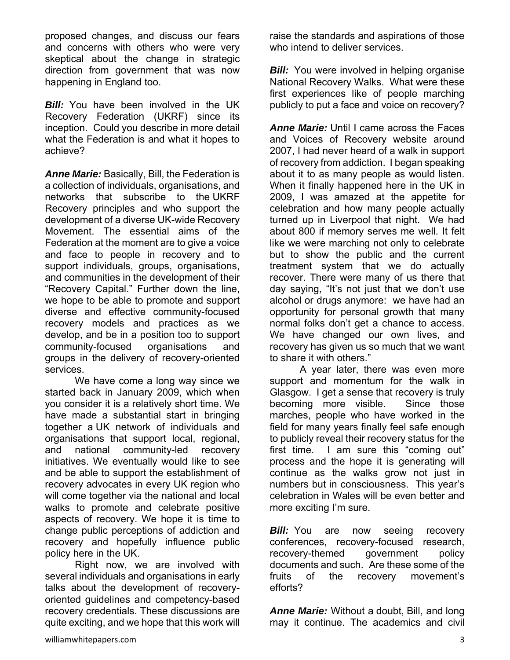proposed changes, and discuss our fears and concerns with others who were very skeptical about the change in strategic direction from government that was now happening in England too.

**Bill:** You have been involved in the UK Recovery Federation (UKRF) since its inception. Could you describe in more detail what the Federation is and what it hopes to achieve?

*Anne Marie:* Basically, Bill, the Federation is a collection of individuals, organisations, and networks that subscribe to the UKRF Recovery principles and who support the development of a diverse UK-wide Recovery Movement. The essential aims of the Federation at the moment are to give a voice and face to people in recovery and to support individuals, groups, organisations, and communities in the development of their "Recovery Capital." Further down the line, we hope to be able to promote and support diverse and effective community-focused recovery models and practices as we develop, and be in a position too to support community-focused organisations and groups in the delivery of recovery-oriented services.

 We have come a long way since we started back in January 2009, which when you consider it is a relatively short time. We have made a substantial start in bringing together a UK network of individuals and organisations that support local, regional, and national community-led recovery initiatives. We eventually would like to see and be able to support the establishment of recovery advocates in every UK region who will come together via the national and local walks to promote and celebrate positive aspects of recovery. We hope it is time to change public perceptions of addiction and recovery and hopefully influence public policy here in the UK.

 Right now, we are involved with several individuals and organisations in early talks about the development of recoveryoriented guidelines and competency-based recovery credentials. These discussions are quite exciting, and we hope that this work will raise the standards and aspirations of those who intend to deliver services

*Bill:* You were involved in helping organise National Recovery Walks. What were these first experiences like of people marching publicly to put a face and voice on recovery?

*Anne Marie:* Until I came across the Faces and Voices of Recovery website around 2007, I had never heard of a walk in support of recovery from addiction. I began speaking about it to as many people as would listen. When it finally happened here in the UK in 2009, I was amazed at the appetite for celebration and how many people actually turned up in Liverpool that night. We had about 800 if memory serves me well. It felt like we were marching not only to celebrate but to show the public and the current treatment system that we do actually recover. There were many of us there that day saying, "It's not just that we don't use alcohol or drugs anymore: we have had an opportunity for personal growth that many normal folks don't get a chance to access. We have changed our own lives, and recovery has given us so much that we want to share it with others."

 A year later, there was even more support and momentum for the walk in Glasgow. I get a sense that recovery is truly becoming more visible. Since those marches, people who have worked in the field for many years finally feel safe enough to publicly reveal their recovery status for the first time. I am sure this "coming out" process and the hope it is generating will continue as the walks grow not just in numbers but in consciousness. This year's celebration in Wales will be even better and more exciting I'm sure.

**Bill:** You are now seeing recovery conferences, recovery-focused research, recovery-themed government policy documents and such. Are these some of the fruits of the recovery movement's efforts?

*Anne Marie:* Without a doubt, Bill, and long may it continue. The academics and civil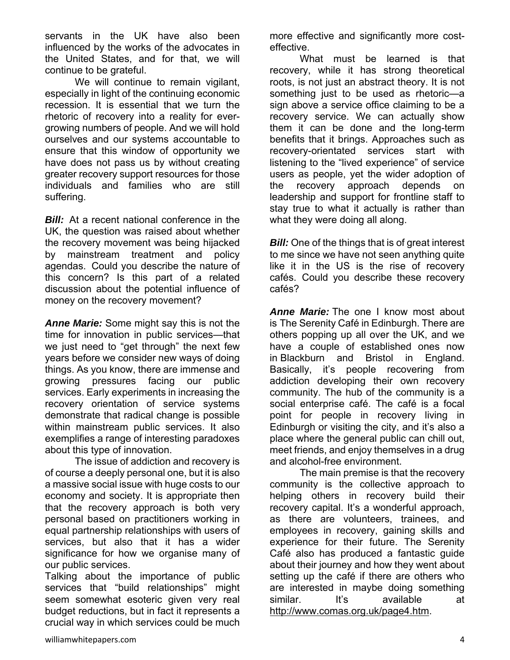servants in the UK have also been influenced by the works of the advocates in the United States, and for that, we will continue to be grateful.

 We will continue to remain vigilant, especially in light of the continuing economic recession. It is essential that we turn the rhetoric of recovery into a reality for evergrowing numbers of people. And we will hold ourselves and our systems accountable to ensure that this window of opportunity we have does not pass us by without creating greater recovery support resources for those individuals and families who are still suffering.

**Bill:** At a recent national conference in the UK, the question was raised about whether the recovery movement was being hijacked by mainstream treatment and policy agendas. Could you describe the nature of this concern? Is this part of a related discussion about the potential influence of money on the recovery movement?

*Anne Marie:* Some might say this is not the time for innovation in public services—that we just need to "get through" the next few years before we consider new ways of doing things. As you know, there are immense and growing pressures facing our public services. Early experiments in increasing the recovery orientation of service systems demonstrate that radical change is possible within mainstream public services. It also exemplifies a range of interesting paradoxes about this type of innovation.

 The issue of addiction and recovery is of course a deeply personal one, but it is also a massive social issue with huge costs to our economy and society. It is appropriate then that the recovery approach is both very personal based on practitioners working in equal partnership relationships with users of services, but also that it has a wider significance for how we organise many of our public services.

Talking about the importance of public services that "build relationships" might seem somewhat esoteric given very real budget reductions, but in fact it represents a crucial way in which services could be much more effective and significantly more costeffective.

 What must be learned is that recovery, while it has strong theoretical roots, is not just an abstract theory. It is not something just to be used as rhetoric—a sign above a service office claiming to be a recovery service. We can actually show them it can be done and the long-term benefits that it brings. Approaches such as recovery-orientated services start with listening to the "lived experience" of service users as people, yet the wider adoption of the recovery approach depends on leadership and support for frontline staff to stay true to what it actually is rather than what they were doing all along.

*Bill:* One of the things that is of great interest to me since we have not seen anything quite like it in the US is the rise of recovery cafés. Could you describe these recovery cafés?

*Anne Marie:* The one I know most about is The Serenity Café in Edinburgh. There are others popping up all over the UK, and we have a couple of established ones now in Blackburn and Bristol in England. Basically, it's people recovering from addiction developing their own recovery community. The hub of the community is a social enterprise café. The café is a focal point for people in recovery living in Edinburgh or visiting the city, and it's also a place where the general public can chill out, meet friends, and enjoy themselves in a drug and alcohol-free environment.

 The main premise is that the recovery community is the collective approach to helping others in recovery build their recovery capital. It's a wonderful approach, as there are volunteers, trainees, and employees in recovery, gaining skills and experience for their future. The Serenity Café also has produced a fantastic guide about their journey and how they went about setting up the café if there are others who are interested in maybe doing something similar. It's available at http://www.comas.org.uk/page4.htm.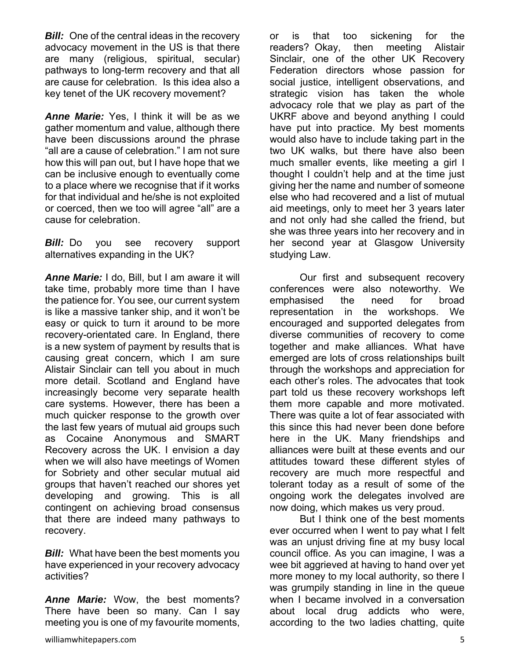**Bill:** One of the central ideas in the recovery advocacy movement in the US is that there are many (religious, spiritual, secular) pathways to long-term recovery and that all are cause for celebration. Is this idea also a key tenet of the UK recovery movement?

*Anne Marie:* Yes, I think it will be as we gather momentum and value, although there have been discussions around the phrase "all are a cause of celebration." I am not sure how this will pan out, but I have hope that we can be inclusive enough to eventually come to a place where we recognise that if it works for that individual and he/she is not exploited or coerced, then we too will agree "all" are a cause for celebration.

**Bill:** Do you see recovery support alternatives expanding in the UK?

*Anne Marie:* I do, Bill, but I am aware it will take time, probably more time than I have the patience for. You see, our current system is like a massive tanker ship, and it won't be easy or quick to turn it around to be more recovery-orientated care. In England, there is a new system of payment by results that is causing great concern, which I am sure Alistair Sinclair can tell you about in much more detail. Scotland and England have increasingly become very separate health care systems. However, there has been a much quicker response to the growth over the last few years of mutual aid groups such as Cocaine Anonymous and SMART Recovery across the UK. I envision a day when we will also have meetings of Women for Sobriety and other secular mutual aid groups that haven't reached our shores yet developing and growing. This is all contingent on achieving broad consensus that there are indeed many pathways to recovery.

*Bill:* What have been the best moments you have experienced in your recovery advocacy activities?

*Anne Marie:* Wow, the best moments? There have been so many. Can I say meeting you is one of my favourite moments,

or is that too sickening for the readers? Okay, then meeting Alistair Sinclair, one of the other UK Recovery Federation directors whose passion for social justice, intelligent observations, and strategic vision has taken the whole advocacy role that we play as part of the UKRF above and beyond anything I could have put into practice. My best moments would also have to include taking part in the two UK walks, but there have also been much smaller events, like meeting a girl I thought I couldn't help and at the time just giving her the name and number of someone else who had recovered and a list of mutual aid meetings, only to meet her 3 years later and not only had she called the friend, but she was three years into her recovery and in her second year at Glasgow University studying Law.

 Our first and subsequent recovery conferences were also noteworthy. We emphasised the need for broad representation in the workshops. We encouraged and supported delegates from diverse communities of recovery to come together and make alliances. What have emerged are lots of cross relationships built through the workshops and appreciation for each other's roles. The advocates that took part told us these recovery workshops left them more capable and more motivated. There was quite a lot of fear associated with this since this had never been done before here in the UK. Many friendships and alliances were built at these events and our attitudes toward these different styles of recovery are much more respectful and tolerant today as a result of some of the ongoing work the delegates involved are now doing, which makes us very proud.

 But I think one of the best moments ever occurred when I went to pay what I felt was an unjust driving fine at my busy local council office. As you can imagine, I was a wee bit aggrieved at having to hand over yet more money to my local authority, so there I was grumpily standing in line in the queue when I became involved in a conversation about local drug addicts who were, according to the two ladies chatting, quite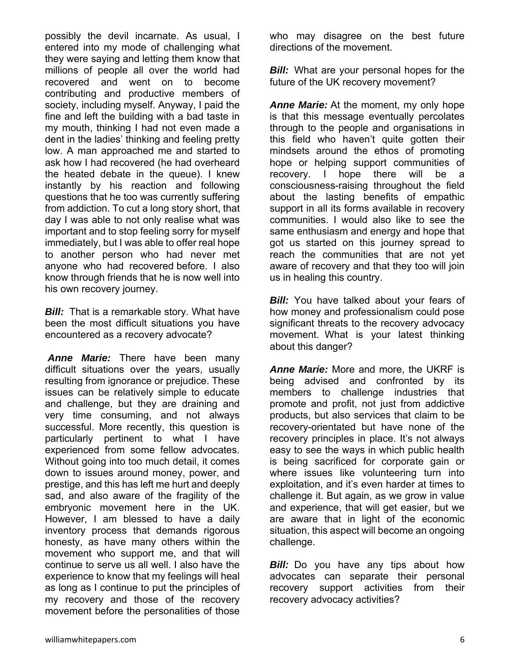possibly the devil incarnate. As usual, I entered into my mode of challenging what they were saying and letting them know that millions of people all over the world had recovered and went on to become contributing and productive members of society, including myself. Anyway, I paid the fine and left the building with a bad taste in my mouth, thinking I had not even made a dent in the ladies' thinking and feeling pretty low. A man approached me and started to ask how I had recovered (he had overheard the heated debate in the queue). I knew instantly by his reaction and following questions that he too was currently suffering from addiction. To cut a long story short, that day I was able to not only realise what was important and to stop feeling sorry for myself immediately, but I was able to offer real hope to another person who had never met anyone who had recovered before. I also know through friends that he is now well into his own recovery journey.

**Bill:** That is a remarkable story. What have been the most difficult situations you have encountered as a recovery advocate?

*Anne Marie:* There have been many difficult situations over the years, usually resulting from ignorance or prejudice. These issues can be relatively simple to educate and challenge, but they are draining and very time consuming, and not always successful. More recently, this question is particularly pertinent to what I have experienced from some fellow advocates. Without going into too much detail, it comes down to issues around money, power, and prestige, and this has left me hurt and deeply sad, and also aware of the fragility of the embryonic movement here in the UK. However, I am blessed to have a daily inventory process that demands rigorous honesty, as have many others within the movement who support me, and that will continue to serve us all well. I also have the experience to know that my feelings will heal as long as I continue to put the principles of my recovery and those of the recovery movement before the personalities of those

who may disagree on the best future directions of the movement.

*Bill:* What are your personal hopes for the future of the UK recovery movement?

*Anne Marie:* At the moment, my only hope is that this message eventually percolates through to the people and organisations in this field who haven't quite gotten their mindsets around the ethos of promoting hope or helping support communities of recovery. I hope there will be a consciousness-raising throughout the field about the lasting benefits of empathic support in all its forms available in recovery communities. I would also like to see the same enthusiasm and energy and hope that got us started on this journey spread to reach the communities that are not yet aware of recovery and that they too will join us in healing this country.

*Bill:* You have talked about your fears of how money and professionalism could pose significant threats to the recovery advocacy movement. What is your latest thinking about this danger?

*Anne Marie:* More and more, the UKRF is being advised and confronted by its members to challenge industries that promote and profit, not just from addictive products, but also services that claim to be recovery-orientated but have none of the recovery principles in place. It's not always easy to see the ways in which public health is being sacrificed for corporate gain or where issues like volunteering turn into exploitation, and it's even harder at times to challenge it. But again, as we grow in value and experience, that will get easier, but we are aware that in light of the economic situation, this aspect will become an ongoing challenge.

*Bill:* Do you have any tips about how advocates can separate their personal recovery support activities from their recovery advocacy activities?